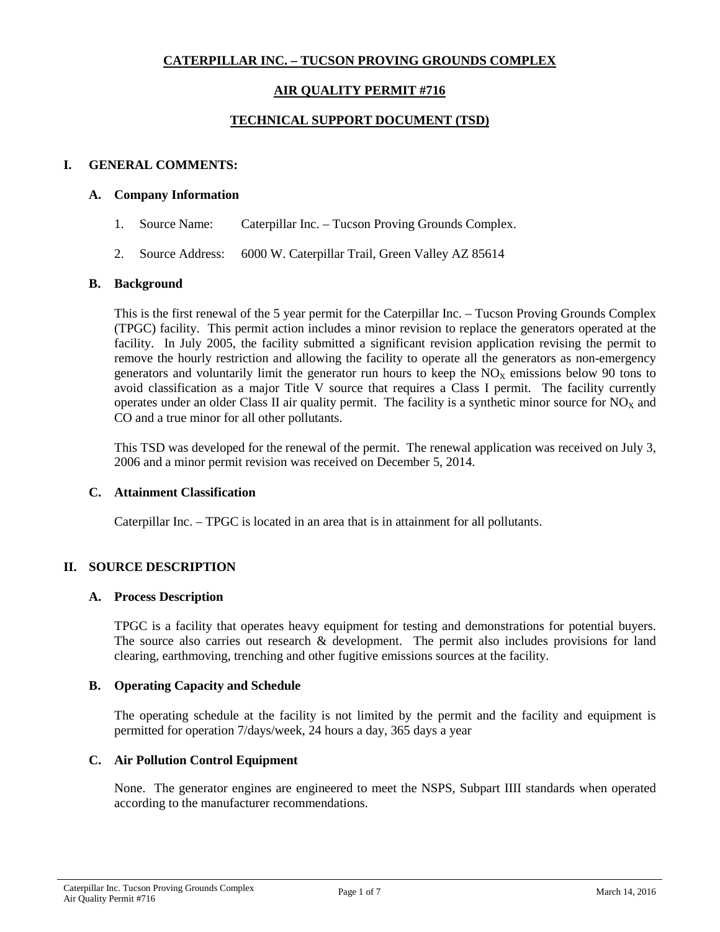# **CATERPILLAR INC. – TUCSON PROVING GROUNDS COMPLEX**

# **AIR QUALITY PERMIT #716**

# **TECHNICAL SUPPORT DOCUMENT (TSD)**

# **I. GENERAL COMMENTS:**

### **A. Company Information**

- 1. Source Name: Caterpillar Inc. Tucson Proving Grounds Complex.
- 2. Source Address: 6000 W. Caterpillar Trail, Green Valley AZ 85614

### **B. Background**

This is the first renewal of the 5 year permit for the Caterpillar Inc. – Tucson Proving Grounds Complex (TPGC) facility. This permit action includes a minor revision to replace the generators operated at the facility. In July 2005, the facility submitted a significant revision application revising the permit to remove the hourly restriction and allowing the facility to operate all the generators as non-emergency generators and voluntarily limit the generator run hours to keep the  $NO<sub>x</sub>$  emissions below 90 tons to avoid classification as a major Title V source that requires a Class I permit. The facility currently operates under an older Class II air quality permit. The facility is a synthetic minor source for  $NO_x$  and CO and a true minor for all other pollutants.

This TSD was developed for the renewal of the permit. The renewal application was received on July 3, 2006 and a minor permit revision was received on December 5, 2014.

### **C. Attainment Classification**

Caterpillar Inc. – TPGC is located in an area that is in attainment for all pollutants.

### **II. SOURCE DESCRIPTION**

#### **A. Process Description**

TPGC is a facility that operates heavy equipment for testing and demonstrations for potential buyers. The source also carries out research & development. The permit also includes provisions for land clearing, earthmoving, trenching and other fugitive emissions sources at the facility.

### **B. Operating Capacity and Schedule**

The operating schedule at the facility is not limited by the permit and the facility and equipment is permitted for operation 7/days/week, 24 hours a day, 365 days a year

### **C. Air Pollution Control Equipment**

None. The generator engines are engineered to meet the NSPS, Subpart IIII standards when operated according to the manufacturer recommendations.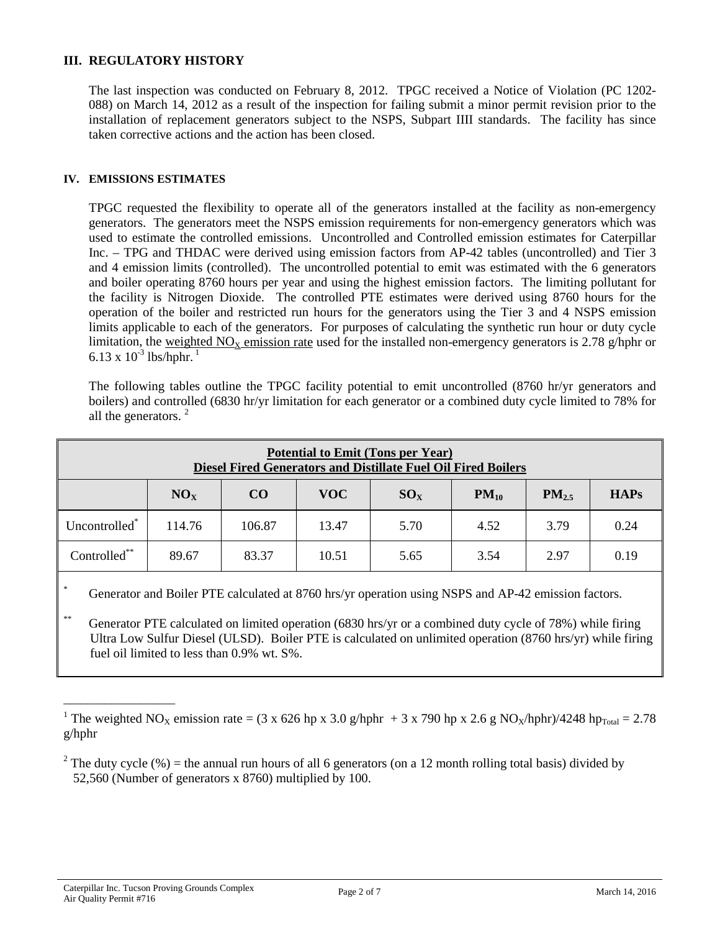# **III. REGULATORY HISTORY**

The last inspection was conducted on February 8, 2012. TPGC received a Notice of Violation (PC 1202- 088) on March 14, 2012 as a result of the inspection for failing submit a minor permit revision prior to the installation of replacement generators subject to the NSPS, Subpart IIII standards. The facility has since taken corrective actions and the action has been closed.

### **IV. EMISSIONS ESTIMATES**

TPGC requested the flexibility to operate all of the generators installed at the facility as non-emergency generators. The generators meet the NSPS emission requirements for non-emergency generators which was used to estimate the controlled emissions. Uncontrolled and Controlled emission estimates for Caterpillar Inc. – TPG and THDAC were derived using emission factors from AP-42 tables (uncontrolled) and Tier 3 and 4 emission limits (controlled). The uncontrolled potential to emit was estimated with the 6 generators and boiler operating 8760 hours per year and using the highest emission factors. The limiting pollutant for the facility is Nitrogen Dioxide. The controlled PTE estimates were derived using 8760 hours for the operation of the boiler and restricted run hours for the generators using the Tier 3 and 4 NSPS emission limits applicable to each of the generators. For purposes of calculating the synthetic run hour or duty cycle limitation, the weighted  $NO<sub>x</sub>$  emission rate used for the installed non-emergency generators is 2.78 g/hphr or 6.13 x  $10^{-3}$  lbs/hphr.<sup>1</sup>

The following tables outline the TPGC facility potential to emit uncontrolled (8760 hr/yr generators and boilers) and controlled (6830 hr/yr limitation for each generator or a combined duty cycle limited to 78% for all the generators.<sup>2</sup>

| <b>Potential to Emit (Tons per Year)</b><br>Diesel Fired Generators and Distillate Fuel Oil Fired Boilers |                 |        |            |          |           |            |             |  |
|-----------------------------------------------------------------------------------------------------------|-----------------|--------|------------|----------|-----------|------------|-------------|--|
|                                                                                                           | NO <sub>x</sub> | CO     | <b>VOC</b> | $SO_{X}$ | $PM_{10}$ | $PM_{2.5}$ | <b>HAPs</b> |  |
| Uncontrolled <sup>*</sup>                                                                                 | 114.76          | 106.87 | 13.47      | 5.70     | 4.52      | 3.79       | 0.24        |  |
| Controlled**                                                                                              | 89.67           | 83.37  | 10.51      | 5.65     | 3.54      | 2.97       | 0.19        |  |

Generator and Boiler PTE calculated at 8760 hrs/yr operation using NSPS and AP-42 emission factors.

Generator PTE calculated on limited operation (6830 hrs/yr or a combined duty cycle of 78%) while firing Ultra Low Sulfur Diesel (ULSD). Boiler PTE is calculated on unlimited operation (8760 hrs/yr) while firing fuel oil limited to less than 0.9% wt. S%.

\_\_\_\_\_\_\_\_\_\_\_\_\_\_\_\_\_\_\_

<sup>&</sup>lt;sup>1</sup> The weighted NO<sub>X</sub> emission rate = (3 x 626 hp x 3.0 g/hphr + 3 x 790 hp x 2.6 g NO<sub>X</sub>/hphr)/4248 hp<sub>Total</sub> = 2.78 g/hphr

<sup>&</sup>lt;sup>2</sup> The duty cycle (%) = the annual run hours of all 6 generators (on a 12 month rolling total basis) divided by 52,560 (Number of generators x 8760) multiplied by 100.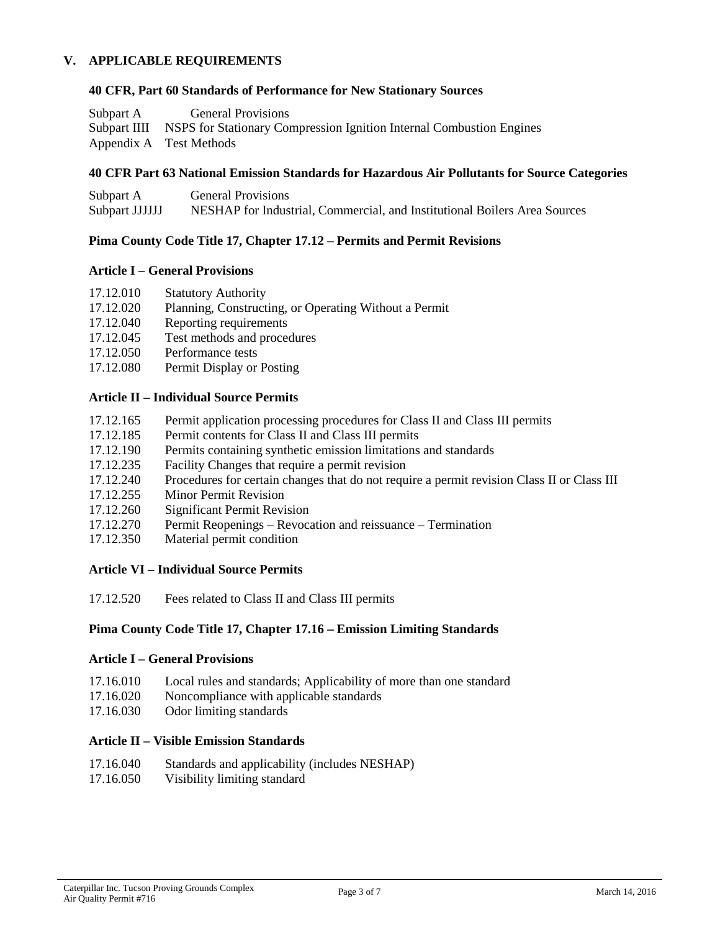# **V. APPLICABLE REQUIREMENTS**

### **40 CFR, Part 60 Standards of Performance for New Stationary Sources**

| Subpart A | <b>General Provisions</b>                                                         |
|-----------|-----------------------------------------------------------------------------------|
|           | Subpart IIII NSPS for Stationary Compression Ignition Internal Combustion Engines |
|           | Appendix A Test Methods                                                           |

### **40 CFR Part 63 National Emission Standards for Hazardous Air Pollutants for Source Categories**

| Subpart A      | <b>General Provisions</b>                                                 |
|----------------|---------------------------------------------------------------------------|
| Subpart JJJJJJ | NESHAP for Industrial, Commercial, and Institutional Boilers Area Sources |

### **Pima County Code Title 17, Chapter 17.12 – Permits and Permit Revisions**

### **Article I – General Provisions**

- 17.12.010 Statutory Authority
- 17.12.020 Planning, Constructing, or Operating Without a Permit
- 17.12.040 Reporting requirements
- 17.12.045 Test methods and procedures
- 17.12.050 Performance tests
- 17.12.080 Permit Display or Posting

# **Article II – Individual Source Permits**

- 17.12.165 Permit application processing procedures for Class II and Class III permits
- 17.12.185 Permit contents for Class II and Class III permits
- 17.12.190 Permits containing synthetic emission limitations and standards
- 17.12.235 Facility Changes that require a permit revision
- 17.12.240 Procedures for certain changes that do not require a permit revision Class II or Class III
- 17.12.255 Minor Permit Revision
- 17.12.260 Significant Permit Revision
- 17.12.270 Permit Reopenings Revocation and reissuance Termination
- 17.12.350 Material permit condition

### **Article VI – Individual Source Permits**

17.12.520 Fees related to Class II and Class III permits

### **Pima County Code Title 17, Chapter 17.16 – Emission Limiting Standards**

### **Article I – General Provisions**

- 17.16.010 Local rules and standards; Applicability of more than one standard
- 17.16.020 Noncompliance with applicable standards
- 17.16.030 Odor limiting standards

# **Article II – Visible Emission Standards**

- 17.16.040 Standards and applicability (includes NESHAP)
- 17.16.050 Visibility limiting standard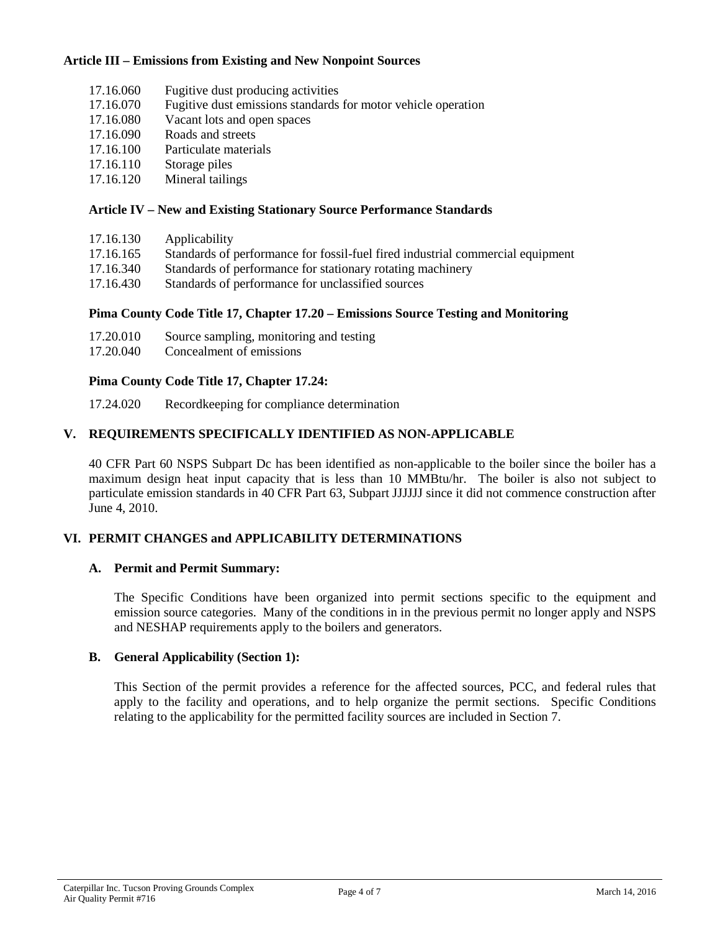# **Article III – Emissions from Existing and New Nonpoint Sources**

- 17.16.060 Fugitive dust producing activities
- 17.16.070 Fugitive dust emissions standards for motor vehicle operation
- 17.16.080 Vacant lots and open spaces
- 17.16.090 Roads and streets
- 17.16.100 Particulate materials
- 17.16.110 Storage piles
- 17.16.120 Mineral tailings

### **Article IV – New and Existing Stationary Source Performance Standards**

| 17.16.130 | Applicability |
|-----------|---------------|
|-----------|---------------|

- 17.16.165 Standards of performance for fossil-fuel fired industrial commercial equipment
- 17.16.340 Standards of performance for stationary rotating machinery
- 17.16.430 Standards of performance for unclassified sources

# **Pima County Code Title 17, Chapter 17.20 – Emissions Source Testing and Monitoring**

- 17.20.010 Source sampling, monitoring and testing
- 17.20.040 Concealment of emissions

# **Pima County Code Title 17, Chapter 17.24:**

17.24.020 Recordkeeping for compliance determination

# **V. REQUIREMENTS SPECIFICALLY IDENTIFIED AS NON-APPLICABLE**

40 CFR Part 60 NSPS Subpart Dc has been identified as non-applicable to the boiler since the boiler has a maximum design heat input capacity that is less than 10 MMBtu/hr. The boiler is also not subject to particulate emission standards in 40 CFR Part 63, Subpart JJJJJJ since it did not commence construction after June 4, 2010.

# **VI. PERMIT CHANGES and APPLICABILITY DETERMINATIONS**

### **A. Permit and Permit Summary:**

The Specific Conditions have been organized into permit sections specific to the equipment and emission source categories. Many of the conditions in in the previous permit no longer apply and NSPS and NESHAP requirements apply to the boilers and generators.

### **B. General Applicability (Section 1):**

This Section of the permit provides a reference for the affected sources, PCC, and federal rules that apply to the facility and operations, and to help organize the permit sections. Specific Conditions relating to the applicability for the permitted facility sources are included in Section 7.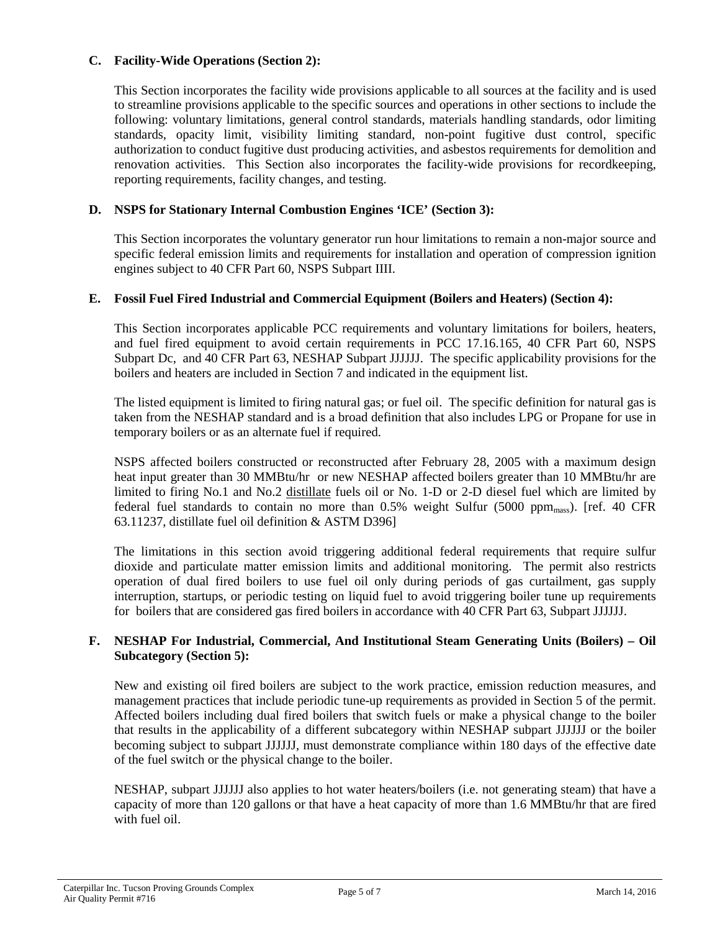# **C. Facility-Wide Operations (Section 2):**

This Section incorporates the facility wide provisions applicable to all sources at the facility and is used to streamline provisions applicable to the specific sources and operations in other sections to include the following: voluntary limitations, general control standards, materials handling standards, odor limiting standards, opacity limit, visibility limiting standard, non-point fugitive dust control, specific authorization to conduct fugitive dust producing activities, and asbestos requirements for demolition and renovation activities. This Section also incorporates the facility-wide provisions for recordkeeping, reporting requirements, facility changes, and testing.

# **D. NSPS for Stationary Internal Combustion Engines 'ICE' (Section 3):**

This Section incorporates the voluntary generator run hour limitations to remain a non-major source and specific federal emission limits and requirements for installation and operation of compression ignition engines subject to 40 CFR Part 60, NSPS Subpart IIII.

# **E. Fossil Fuel Fired Industrial and Commercial Equipment (Boilers and Heaters) (Section 4):**

This Section incorporates applicable PCC requirements and voluntary limitations for boilers, heaters, and fuel fired equipment to avoid certain requirements in PCC 17.16.165, 40 CFR Part 60, NSPS Subpart Dc, and 40 CFR Part 63, NESHAP Subpart JJJJJJ. The specific applicability provisions for the boilers and heaters are included in Section 7 and indicated in the equipment list.

The listed equipment is limited to firing natural gas; or fuel oil. The specific definition for natural gas is taken from the NESHAP standard and is a broad definition that also includes LPG or Propane for use in temporary boilers or as an alternate fuel if required.

NSPS affected boilers constructed or reconstructed after February 28, 2005 with a maximum design heat input greater than 30 MMBtu/hr or new NESHAP affected boilers greater than 10 MMBtu/hr are limited to firing No.1 and No.2 distillate fuels oil or No. 1-D or 2-D diesel fuel which are limited by federal fuel standards to contain no more than  $0.5\%$  weight Sulfur (5000 ppm<sub>mass</sub>). [ref. 40 CFR 63.11237, distillate fuel oil definition & ASTM D396]

The limitations in this section avoid triggering additional federal requirements that require sulfur dioxide and particulate matter emission limits and additional monitoring. The permit also restricts operation of dual fired boilers to use fuel oil only during periods of gas curtailment, gas supply interruption, startups, or periodic testing on liquid fuel to avoid triggering boiler tune up requirements for boilers that are considered gas fired boilers in accordance with 40 CFR Part 63, Subpart JJJJJJ.

# **F. NESHAP For Industrial, Commercial, And Institutional Steam Generating Units (Boilers) – Oil Subcategory (Section 5):**

New and existing oil fired boilers are subject to the work practice, emission reduction measures, and management practices that include periodic tune-up requirements as provided in Section 5 of the permit. Affected boilers including dual fired boilers that switch fuels or make a physical change to the boiler that results in the applicability of a different subcategory within NESHAP subpart JJJJJJ or the boiler becoming subject to subpart JJJJJJ, must demonstrate compliance within 180 days of the effective date of the fuel switch or the physical change to the boiler.

NESHAP, subpart JJJJJJ also applies to hot water heaters/boilers (i.e. not generating steam) that have a capacity of more than 120 gallons or that have a heat capacity of more than 1.6 MMBtu/hr that are fired with fuel oil.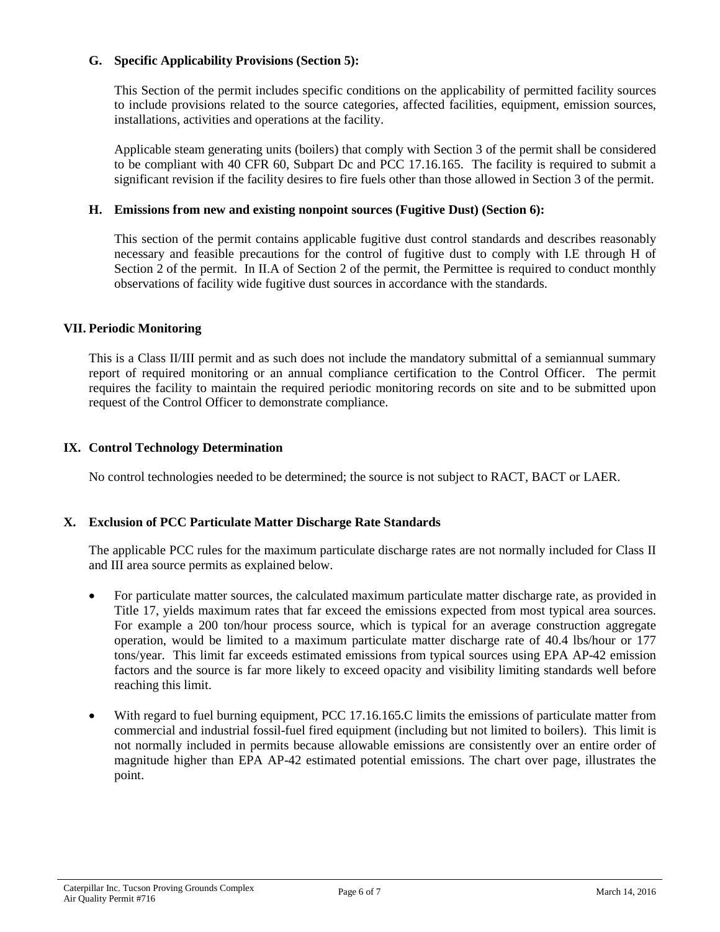# **G. Specific Applicability Provisions (Section 5):**

This Section of the permit includes specific conditions on the applicability of permitted facility sources to include provisions related to the source categories, affected facilities, equipment, emission sources, installations, activities and operations at the facility.

Applicable steam generating units (boilers) that comply with Section 3 of the permit shall be considered to be compliant with 40 CFR 60, Subpart Dc and PCC 17.16.165. The facility is required to submit a significant revision if the facility desires to fire fuels other than those allowed in Section 3 of the permit.

# **H. Emissions from new and existing nonpoint sources (Fugitive Dust) (Section 6):**

This section of the permit contains applicable fugitive dust control standards and describes reasonably necessary and feasible precautions for the control of fugitive dust to comply with I.E through H of Section 2 of the permit. In II.A of Section 2 of the permit, the Permittee is required to conduct monthly observations of facility wide fugitive dust sources in accordance with the standards.

# **VII. Periodic Monitoring**

This is a Class II/III permit and as such does not include the mandatory submittal of a semiannual summary report of required monitoring or an annual compliance certification to the Control Officer. The permit requires the facility to maintain the required periodic monitoring records on site and to be submitted upon request of the Control Officer to demonstrate compliance.

# **IX. Control Technology Determination**

No control technologies needed to be determined; the source is not subject to RACT, BACT or LAER.

# **X. Exclusion of PCC Particulate Matter Discharge Rate Standards**

The applicable PCC rules for the maximum particulate discharge rates are not normally included for Class II and III area source permits as explained below.

- For particulate matter sources, the calculated maximum particulate matter discharge rate, as provided in Title 17, yields maximum rates that far exceed the emissions expected from most typical area sources. For example a 200 ton/hour process source, which is typical for an average construction aggregate operation, would be limited to a maximum particulate matter discharge rate of 40.4 lbs/hour or 177 tons/year. This limit far exceeds estimated emissions from typical sources using EPA AP-42 emission factors and the source is far more likely to exceed opacity and visibility limiting standards well before reaching this limit.
- With regard to fuel burning equipment, PCC 17.16.165.C limits the emissions of particulate matter from commercial and industrial fossil-fuel fired equipment (including but not limited to boilers). This limit is not normally included in permits because allowable emissions are consistently over an entire order of magnitude higher than EPA AP-42 estimated potential emissions. The chart over page, illustrates the point.